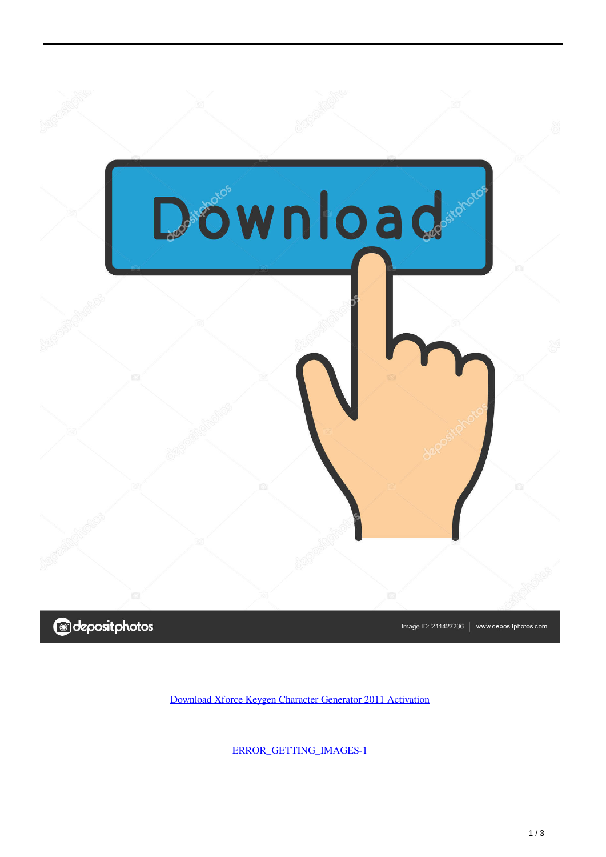



Image ID: 211427236 www.depositphotos.com

[Download Xforce Keygen Character Generator 2011 Activation](http://tweeat.com/16y7x3)

[ERROR\\_GETTING\\_IMAGES-1](http://tweeat.com/16y7x3)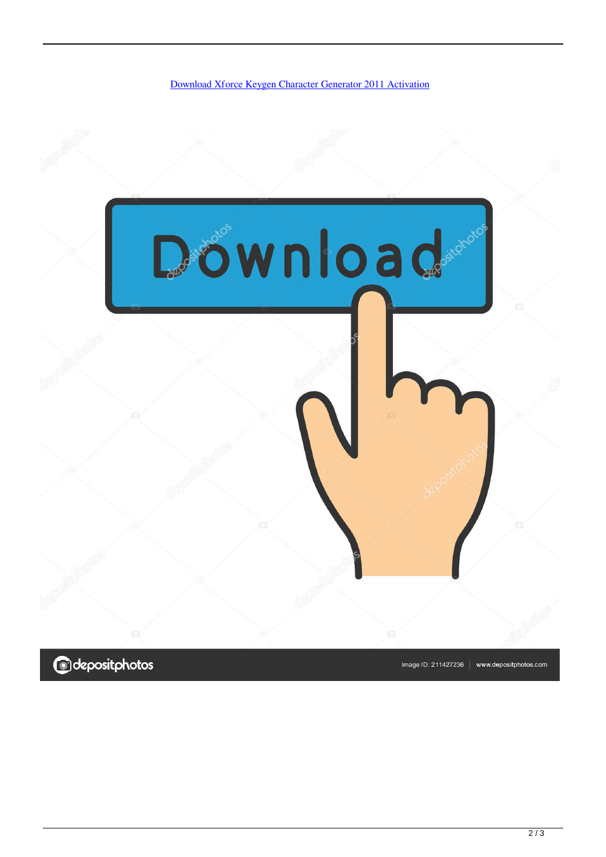

**@depositphotos** 

Image ID: 211427236 www.depositphotos.com